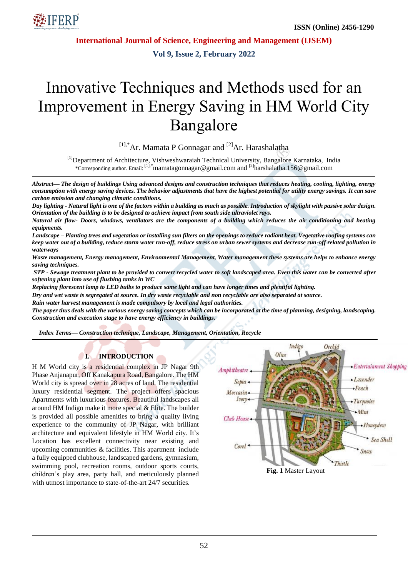

**International Journal of Science, Engineering and Management (IJSEM)**

**Vol 9, Issue 2, February 2022**

# Innovative Techniques and Methods used for an Improvement in Energy Saving in HM World City Bangalore

 $[11, *$ Ar. Mamata P Gonnagar and  $[2]$ Ar. Harashalatha

<sup>[1]</sup>Department of Architecture, Vishweshwaraiah Technical University, Bangalore Karnataka, India \*Corresponding author. Email: [1],\*mamatagonnagar@gmail.com and [2]harshalatha.156@gmail.com

*Abstract— The design of buildings Using advanced designs and construction techniques that reduces heating, cooling, lighting, energy consumption with energy saving devices. The behavior adjustments that have the highest potential for utility energy savings. It can save carbon emission and changing climatic conditions.*

*Day lighting - Natural light is one of the factors within a building as much as possible. Introduction of skylight with passive solar design. Orientation of the building is to be designed to achieve impact from south side ultraviolet rays.*

*Natural air flow- Doors, windows, ventilators are the components of a building which reduces the air conditioning and heating equipments.* 

*Landscape – Planting trees and vegetation or installing sun filters on the openings to reduce radiant heat. Vegetative roofing systems can keep water out of a building, reduce storm water run-off, reduce stress on urban sewer systems and decrease run-off related pollution in waterways*

*Waste management, Energy management, Environmental Management, Water management these systems are helps to enhance energy saving techniques.* 

*STP - Sewage treatment plant to be provided to convert recycled water to soft landscaped area. Even this water can be converted after softening plant into use of flushing tanks in WC* 

*Replacing florescent lamp to LED bulbs to produce same light and can have longer times and plentiful lighting.* 

*Dry and wet waste is segregated at source. In dry waste recyclable and non recyclable are also separated at source.*

*Rain water harvest management is made compulsory by local and legal authorities.*

*The paper thus deals with the various energy saving concepts which can be incorporated at the time of planning, designing, landscaping. Construction and execution stage to have energy efficiency in buildings.*

*Index Terms— Construction technique, Landscape, Management, Orientation, Recycle*

## **I. INTRODUCTION**

H M World city is a residential complex in JP Nagar 9th Phase Anjanapur, Off Kanakapura Road, Bangalore. The HM World city is spread over in 28 acres of land. The residential luxury residential segment. The project offers spacious Apartments with luxurious features. Beautiful landscapes all around HM Indigo make it more special & Elite. The builder is provided all possible amenities to bring a quality living experience to the community of JP Nagar, with brilliant architecture and equivalent lifestyle in HM World city. It's Location has excellent connectivity near existing and upcoming communities & facilities. This apartment include a fully equipped clubhouse, landscaped gardens, gymnasium, swimming pool, recreation rooms, outdoor sports courts, children's play area, party hall, and meticulously planned with utmost importance to state-of-the-art  $24/7$  securities.

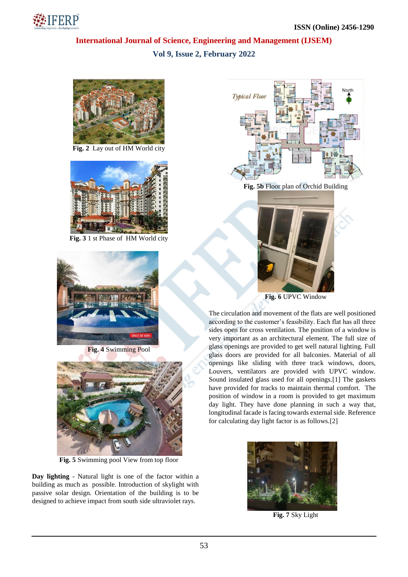

## **International Journal of Science, Engineering and Management (IJSEM) Vol 9, Issue 2, February 2022**



**Fig. 2** Lay out of HM World city



**Fig. 3** 1 st Phase of HM World city



**Fig. 4** Swimming Pool



**Fig. 5** Swimming pool View from top floor

**Day lighting** - Natural light is one of the factor within a building as much as possible. Introduction of skylight with passive solar design. Orientation of the building is to be designed to achieve impact from south side ultraviolet rays.



**Fig. 5b** Floor plan of Orchid Building



**Fig. 6** UPVC Window

The circulation and movement of the flats are well positioned according to the customer's feasibility. Each flat has all three sides open for cross ventilation. The position of a window is very important as an architectural element. The full size of glass openings are provided to get well natural lighting. Full glass doors are provided for all balconies. Material of all openings like sliding with three track windows, doors, Louvers, ventilators are provided with UPVC window. Sound insulated glass used for all openings.[1] The gaskets have provided for tracks to maintain thermal comfort. The position of window in a room is provided to get maximum day light. They have done planning in such a way that, longitudinal facade is facing towards external side. Reference for calculating day light factor is as follows.[2]



**Fig. 7** Sky Light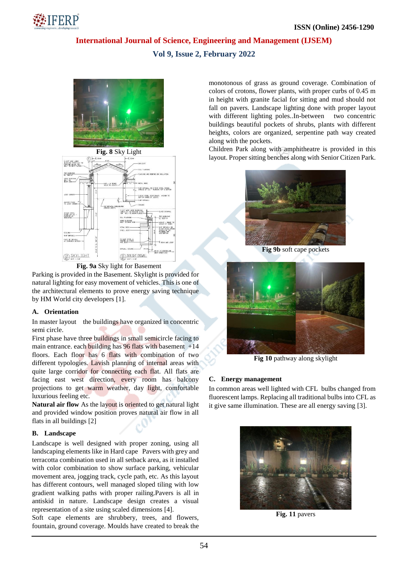

## **International Journal of Science, Engineering and Management (IJSEM)**

## **Vol 9, Issue 2, February 2022**







Parking is provided in the Basement. Skylight is provided for natural lighting for easy movement of vehicles. This is one of the architectural elements to prove energy saving technique by HM World city developers [1].

## **A. Orientation**

In master layout the buildings have organized in concentric semi circle.

First phase have three buildings in small semicircle facing to main entrance. each building has 96 flats with basement +14 floors. Each floor has 6 flats with combination of two different typologies. Lavish planning of internal areas with quite large corridor for connecting each flat. All flats are facing east west direction, every room has balcony projections to get warm weather, day light, comfortable luxurious feeling etc.

**Natural air flow** As the layout is oriented to get natural light and provided window position proves natural air flow in all flats in all buildings [2]

### **B. Landscape**

Landscape is well designed with proper zoning, using all landscaping elements like in Hard cape Pavers with grey and terracotta combination used in all setback area, as it installed with color combination to show surface parking, vehicular movement area, jogging track, cycle path, etc. As this layout has different contours, well managed sloped tiling with low gradient walking paths with proper railing.Pavers is all in antiskid in nature. Landscape design creates a visual representation of a site using scaled dimensions [4].

Soft cape elements are shrubbery, trees, and flowers, fountain, ground coverage. Moulds have created to break the monotonous of grass as ground coverage. Combination of colors of crotons, flower plants, with proper curbs of 0.45 m in height with granite facial for sitting and mud should not fall on pavers. Landscape lighting done with proper layout with different lighting poles..In-between two concentric buildings beautiful pockets of shrubs, plants with different heights, colors are organized, serpentine path way created along with the pockets.

Children Park along with amphitheatre is provided in this layout. Proper sitting benches along with Senior Citizen Park.



**Fig 9b** soft cape pockets



**Fig 10** pathway along skylight

## **C. Energy management**

In common areas well lighted with CFL bulbs changed from fluorescent lamps. Replacing all traditional bulbs into CFL as it give same illumination. These are all energy saving [3].



**Fig. 11** pavers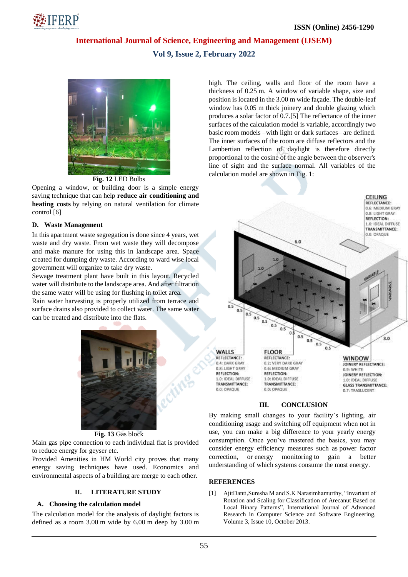

**International Journal of Science, Engineering and Management (IJSEM)**

## **Vol 9, Issue 2, February 2022**



**Fig. 12** LED Bulbs

Opening a window, or building door is a simple energy saving technique that can help **reduce air conditioning and heating costs** by relying on natural ventilation for climate control [6]

### **D. Waste Management**

In this apartment waste segregation is done since 4 years, wet waste and dry waste. From wet waste they will decompose and make manure for using this in landscape area. Space created for dumping dry waste. According to ward wise local government will organize to take dry waste.

Sewage treatment plant have built in this layout. Recycled water will distribute to the landscape area. And after filtration the same water will be using for flushing in toilet area. Rain water harvesting is properly utilized from terrace and surface drains also provided to collect water. The same water can be treated and distribute into the flats.



#### **Fig. 13** Gas block

Main gas pipe connection to each individual flat is provided to reduce energy for geyser etc.

Provided Amenities in HM World city proves that many energy saving techniques have used. Economics and environmental aspects of a building are merge to each other.

### **II. LITERATURE STUDY**

#### **A. Choosing the calculation model**

The calculation model for the analysis of daylight factors is defined as a room 3.00 m wide by 6.00 m deep by 3.00 m high. The ceiling, walls and floor of the room have a thickness of 0.25 m. A window of variable shape, size and position is located in the 3.00 m wide façade. The double-leaf window has  $0.05$  m thick joinery and double glazing which produces a solar factor of 0.7.[5] The reflectance of the inner surfaces of the calculation model is variable, accordingly two basic room models –with light or dark surfaces– are defined. The inner surfaces of the room are diffuse reflectors and the Lambertian reflection of daylight is therefore directly proportional to the cosine of the angle between the observer's line of sight and the surface normal. All variables of the calculation model are shown in Fig. 1:



#### **III. CONCLUSION**

By making small changes to your facility's lighting, air conditioning usage and switching off equipment when not in use, you can make a big difference to your yearly energy consumption. Once you've mastered the basics, you may consider energy efficiency measures such as power factor correction, or energy monitoring to gain a better understanding of which systems consume the most energy.

#### **REFERENCES**

[1] AjitDanti,Suresha M and S.K Narasimhamurthy, "Invariant of Rotation and Scaling for Classification of Arecanut Based on Local Binary Patterns", International Journal of Advanced Research in Computer Science and Software Engineering, Volume 3, Issue 10, October 2013.